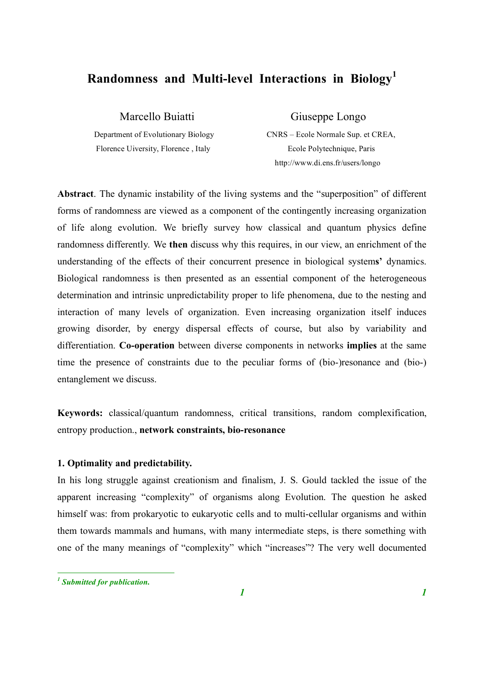# **Randomness and Multi-level Interactions in Biology 1**

Florence Uiversity, Florence, Italy Ecole Polytechnique, Paris

Marcello Buiatti Giuseppe Longo

Department of Evolutionary Biology CNRS – Ecole Normale Sup. et CREA, http://www.di.ens.fr/users/longo

**Abstract**. The dynamic instability of the living systems and the "superposition" of different forms of randomness are viewed as a component of the contingently increasing organization of life along evolution. We briefly survey how classical and quantum physics define randomness differently. We **then** discuss why this requires, in our view, an enrichment of the understanding of the effects of their concurrent presence in biological system**s'** dynamics. Biological randomness is then presented as an essential component of the heterogeneous determination and intrinsic unpredictability proper to life phenomena, due to the nesting and interaction of many levels of organization. Even increasing organization itself induces growing disorder, by energy dispersal effects of course, but also by variability and differentiation. **Co-operation** between diverse components in networks **implies** at the same time the presence of constraints due to the peculiar forms of (bio-)resonance and (bio-) entanglement we discuss.

**Keywords:** classical/quantum randomness, critical transitions, random complexification, entropy production., **network constraints, bio-resonance**

# **1. Optimality and predictability.**

In his long struggle against creationism and finalism, J. S. Gould tackled the issue of the apparent increasing "complexity" of organisms along Evolution. The question he asked himself was: from prokaryotic to eukaryotic cells and to multi-cellular organisms and within them towards mammals and humans, with many intermediate steps, is there something with one of the many meanings of "complexity" which "increases"? The very well documented

 *<sup>1</sup> Submitted for publication.*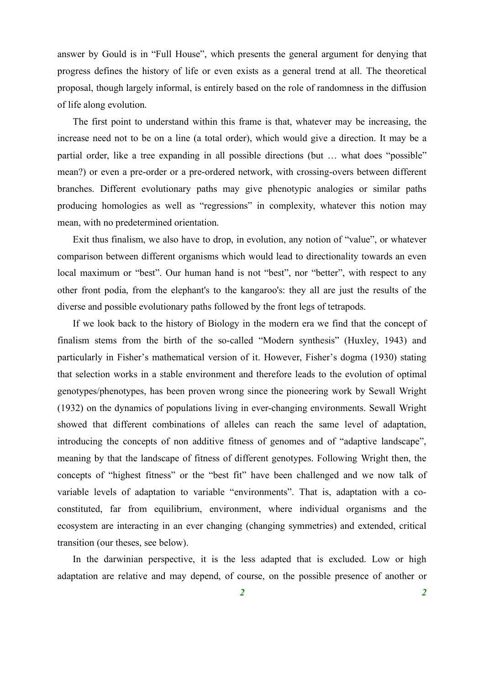answer by Gould is in "Full House", which presents the general argument for denying that progress defines the history of life or even exists as a general trend at all. The theoretical proposal, though largely informal, is entirely based on the role of randomness in the diffusion of life along evolution.

The first point to understand within this frame is that, whatever may be increasing, the increase need not to be on a line (a total order), which would give a direction. It may be a partial order, like a tree expanding in all possible directions (but … what does "possible" mean?) or even a pre-order or a pre-ordered network, with crossing-overs between different branches. Different evolutionary paths may give phenotypic analogies or similar paths producing homologies as well as "regressions" in complexity, whatever this notion may mean, with no predetermined orientation.

Exit thus finalism, we also have to drop, in evolution, any notion of "value", or whatever comparison between different organisms which would lead to directionality towards an even local maximum or "best". Our human hand is not "best", nor "better", with respect to any other front podia, from the elephant's to the kangaroo's: they all are just the results of the diverse and possible evolutionary paths followed by the front legs of tetrapods.

If we look back to the history of Biology in the modern era we find that the concept of finalism stems from the birth of the so-called "Modern synthesis" (Huxley, 1943) and particularly in Fisher's mathematical version of it. However, Fisher's dogma (1930) stating that selection works in a stable environment and therefore leads to the evolution of optimal genotypes/phenotypes, has been proven wrong since the pioneering work by Sewall Wright (1932) on the dynamics of populations living in ever-changing environments. Sewall Wright showed that different combinations of alleles can reach the same level of adaptation, introducing the concepts of non additive fitness of genomes and of "adaptive landscape", meaning by that the landscape of fitness of different genotypes. Following Wright then, the concepts of "highest fitness" or the "best fit" have been challenged and we now talk of variable levels of adaptation to variable "environments". That is, adaptation with a coconstituted, far from equilibrium, environment, where individual organisms and the ecosystem are interacting in an ever changing (changing symmetries) and extended, critical transition (our theses, see below).

In the darwinian perspective, it is the less adapted that is excluded. Low or high adaptation are relative and may depend, of course, on the possible presence of another or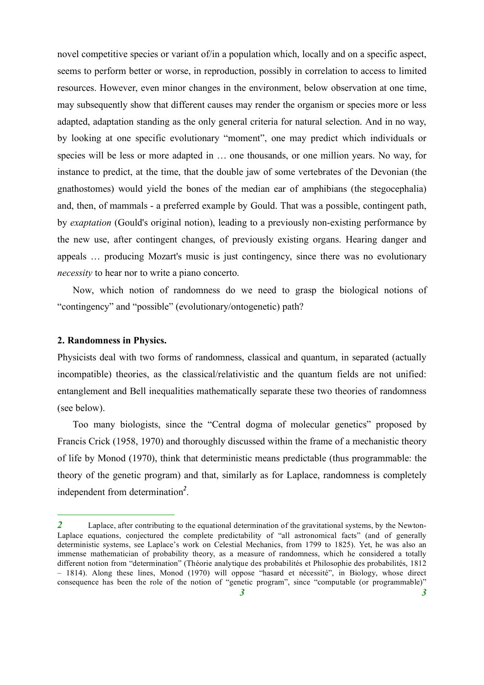novel competitive species or variant of/in a population which, locally and on a specific aspect, seems to perform better or worse, in reproduction, possibly in correlation to access to limited resources. However, even minor changes in the environment, below observation at one time, may subsequently show that different causes may render the organism or species more or less adapted, adaptation standing as the only general criteria for natural selection. And in no way, by looking at one specific evolutionary "moment", one may predict which individuals or species will be less or more adapted in … one thousands, or one million years. No way, for instance to predict, at the time, that the double jaw of some vertebrates of the Devonian (the gnathostomes) would yield the bones of the median ear of amphibians (the stegocephalia) and, then, of mammals - a preferred example by Gould. That was a possible, contingent path, by *exaptation* (Gould's original notion), leading to a previously non-existing performance by the new use, after contingent changes, of previously existing organs. Hearing danger and appeals … producing Mozart's music is just contingency, since there was no evolutionary *necessity* to hear nor to write a piano concerto.

Now, which notion of randomness do we need to grasp the biological notions of "contingency" and "possible" (evolutionary/ontogenetic) path?

### **2. Randomness in Physics.**

Physicists deal with two forms of randomness, classical and quantum, in separated (actually incompatible) theories, as the classical/relativistic and the quantum fields are not unified: entanglement and Bell inequalities mathematically separate these two theories of randomness (see below).

Too many biologists, since the "Central dogma of molecular genetics" proposed by Francis Crick (1958, 1970) and thoroughly discussed within the frame of a mechanistic theory of life by Monod (1970), think that deterministic means predictable (thus programmable: the theory of the genetic program) and that, similarly as for Laplace, randomness is completely independent from determination *2* .

<sup>2</sup> Laplace, after contributing to the equational determination of the gravitational systems, by the Newton-Laplace equations, conjectured the complete predictability of "all astronomical facts" (and of generally deterministic systems, see Laplace's work on Celestial Mechanics, from 1799 to 1825). Yet, he was also an immense mathematician of probability theory, as a measure of randomness, which he considered a totally different notion from "determination" (Théorie analytique des probabilités et Philosophie des probabilités, 1812 – 1814). Along these lines, Monod (1970) will oppose "hasard et nécessité", in Biology, whose direct consequence has been the role of the notion of "genetic program", since "computable (or programmable)"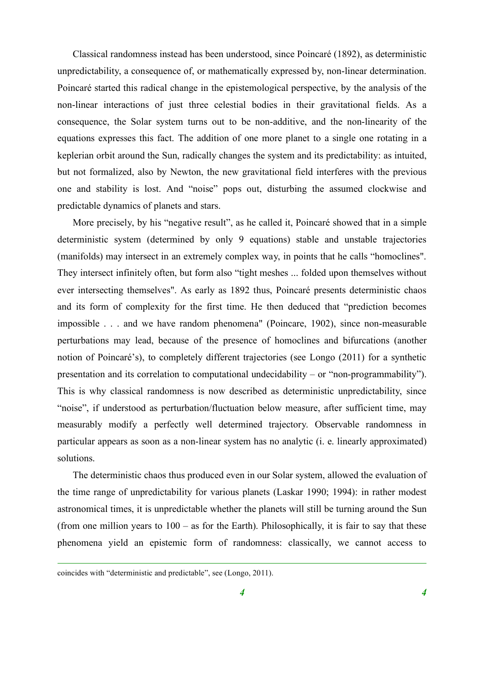Classical randomness instead has been understood, since Poincaré (1892), as deterministic unpredictability, a consequence of, or mathematically expressed by, non-linear determination. Poincaré started this radical change in the epistemological perspective, by the analysis of the non-linear interactions of just three celestial bodies in their gravitational fields. As a consequence, the Solar system turns out to be non-additive, and the non-linearity of the equations expresses this fact. The addition of one more planet to a single one rotating in a keplerian orbit around the Sun, radically changes the system and its predictability: as intuited, but not formalized, also by Newton, the new gravitational field interferes with the previous one and stability is lost. And "noise" pops out, disturbing the assumed clockwise and predictable dynamics of planets and stars.

More precisely, by his "negative result", as he called it, Poincaré showed that in a simple deterministic system (determined by only 9 equations) stable and unstable trajectories (manifolds) may intersect in an extremely complex way, in points that he calls "homoclines". They intersect infinitely often, but form also "tight meshes ... folded upon themselves without ever intersecting themselves". As early as 1892 thus, Poincaré presents deterministic chaos and its form of complexity for the first time. He then deduced that "prediction becomes impossible . . . and we have random phenomena" (Poincare, 1902), since non-measurable perturbations may lead, because of the presence of homoclines and bifurcations (another notion of Poincaré's), to completely different trajectories (see Longo (2011) for a synthetic presentation and its correlation to computational undecidability – or "non-programmability"). This is why classical randomness is now described as deterministic unpredictability, since "noise", if understood as perturbation/fluctuation below measure, after sufficient time, may measurably modify a perfectly well determined trajectory. Observable randomness in particular appears as soon as a non-linear system has no analytic (i. e. linearly approximated) solutions.

The deterministic chaos thus produced even in our Solar system, allowed the evaluation of the time range of unpredictability for various planets (Laskar 1990; 1994): in rather modest astronomical times, it is unpredictable whether the planets will still be turning around the Sun (from one million years to 100 – as for the Earth). Philosophically, it is fair to say that these phenomena yield an epistemic form of randomness: classically, we cannot access to

coincides with "deterministic and predictable", see (Longo, 2011).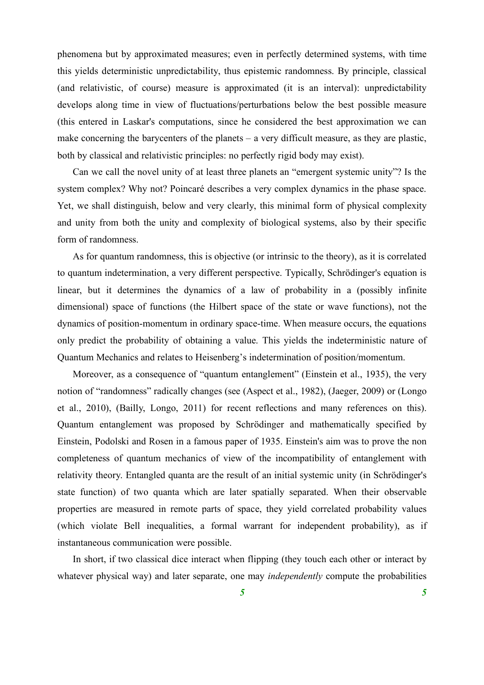phenomena but by approximated measures; even in perfectly determined systems, with time this yields deterministic unpredictability, thus epistemic randomness. By principle, classical (and relativistic, of course) measure is approximated (it is an interval): unpredictability develops along time in view of fluctuations/perturbations below the best possible measure (this entered in Laskar's computations, since he considered the best approximation we can make concerning the barycenters of the planets – a very difficult measure, as they are plastic, both by classical and relativistic principles: no perfectly rigid body may exist).

Can we call the novel unity of at least three planets an "emergent systemic unity"? Is the system complex? Why not? Poincaré describes a very complex dynamics in the phase space. Yet, we shall distinguish, below and very clearly, this minimal form of physical complexity and unity from both the unity and complexity of biological systems, also by their specific form of randomness.

As for quantum randomness, this is objective (or intrinsic to the theory), as it is correlated to quantum indetermination, a very different perspective. Typically, Schrödinger's equation is linear, but it determines the dynamics of a law of probability in a (possibly infinite dimensional) space of functions (the Hilbert space of the state or wave functions), not the dynamics of position-momentum in ordinary space-time. When measure occurs, the equations only predict the probability of obtaining a value. This yields the indeterministic nature of Quantum Mechanics and relates to Heisenberg's indetermination of position/momentum.

Moreover, as a consequence of "quantum entanglement" (Einstein et al., 1935), the very notion of "randomness" radically changes (see (Aspect et al., 1982), (Jaeger, 2009) or (Longo et al., 2010), (Bailly, Longo, 2011) for recent reflections and many references on this). Quantum entanglement was proposed by Schrödinger and mathematically specified by Einstein, Podolski and Rosen in a famous paper of 1935. Einstein's aim was to prove the non completeness of quantum mechanics of view of the incompatibility of entanglement with relativity theory. Entangled quanta are the result of an initial systemic unity (in Schrödinger's state function) of two quanta which are later spatially separated. When their observable properties are measured in remote parts of space, they yield correlated probability values (which violate Bell inequalities, a formal warrant for independent probability), as if instantaneous communication were possible.

In short, if two classical dice interact when flipping (they touch each other or interact by whatever physical way) and later separate, one may *independently* compute the probabilities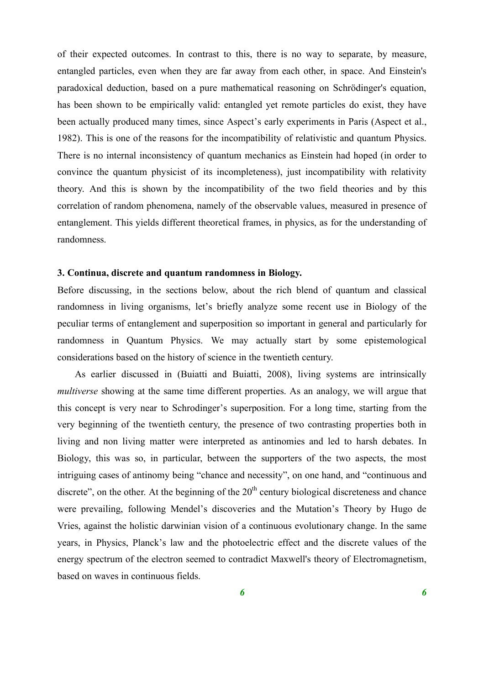of their expected outcomes. In contrast to this, there is no way to separate, by measure, entangled particles, even when they are far away from each other, in space. And Einstein's paradoxical deduction, based on a pure mathematical reasoning on Schrödinger's equation, has been shown to be empirically valid: entangled yet remote particles do exist, they have been actually produced many times, since Aspect's early experiments in Paris (Aspect et al., 1982). This is one of the reasons for the incompatibility of relativistic and quantum Physics. There is no internal inconsistency of quantum mechanics as Einstein had hoped (in order to convince the quantum physicist of its incompleteness), just incompatibility with relativity theory. And this is shown by the incompatibility of the two field theories and by this correlation of random phenomena, namely of the observable values, measured in presence of entanglement. This yields different theoretical frames, in physics, as for the understanding of randomness.

# **3. Continua, discrete and quantum randomness in Biology.**

Before discussing, in the sections below, about the rich blend of quantum and classical randomness in living organisms, let's briefly analyze some recent use in Biology of the peculiar terms of entanglement and superposition so important in general and particularly for randomness in Quantum Physics. We may actually start by some epistemological considerations based on the history of science in the twentieth century.

As earlier discussed in (Buiatti and Buiatti, 2008), living systems are intrinsically *multiverse* showing at the same time different properties. As an analogy, we will argue that this concept is very near to Schrodinger's superposition. For a long time, starting from the very beginning of the twentieth century, the presence of two contrasting properties both in living and non living matter were interpreted as antinomies and led to harsh debates. In Biology, this was so, in particular, between the supporters of the two aspects, the most intriguing cases of antinomy being "chance and necessity", on one hand, and "continuous and discrete", on the other. At the beginning of the  $20<sup>th</sup>$  century biological discreteness and chance were prevailing, following Mendel's discoveries and the Mutation's Theory by Hugo de Vries, against the holistic darwinian vision of a continuous evolutionary change. In the same years, in Physics, Planck's law and the photoelectric effect and the discrete values of the energy spectrum of the electron seemed to contradict Maxwell's theory of Electromagnetism, based on waves in continuous fields.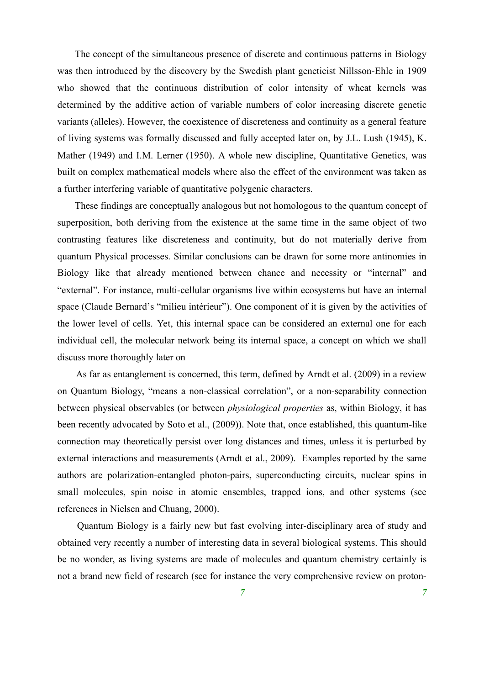The concept of the simultaneous presence of discrete and continuous patterns in Biology was then introduced by the discovery by the Swedish plant geneticist Nillsson-Ehle in 1909 who showed that the continuous distribution of color intensity of wheat kernels was determined by the additive action of variable numbers of color increasing discrete genetic variants (alleles). However, the coexistence of discreteness and continuity as a general feature of living systems was formally discussed and fully accepted later on, by J.L. Lush (1945), K. Mather (1949) and I.M. Lerner (1950). A whole new discipline, Quantitative Genetics, was built on complex mathematical models where also the effect of the environment was taken as a further interfering variable of quantitative polygenic characters.

These findings are conceptually analogous but not homologous to the quantum concept of superposition, both deriving from the existence at the same time in the same object of two contrasting features like discreteness and continuity, but do not materially derive from quantum Physical processes. Similar conclusions can be drawn for some more antinomies in Biology like that already mentioned between chance and necessity or "internal" and "external". For instance, multi-cellular organisms live within ecosystems but have an internal space (Claude Bernard's "milieu intérieur"). One component of it is given by the activities of the lower level of cells. Yet, this internal space can be considered an external one for each individual cell, the molecular network being its internal space, a concept on which we shall discuss more thoroughly later on

As far as entanglement is concerned, this term, defined by Arndt et al. (2009) in a review on Quantum Biology, "means a non-classical correlation", or a non-separability connection between physical observables (or between *physiological properties* as, within Biology, it has been recently advocated by Soto et al., (2009)). Note that, once established, this quantum-like connection may theoretically persist over long distances and times, unless it is perturbed by external interactions and measurements (Arndt et al., 2009). Examples reported by the same authors are polarization-entangled photon-pairs, superconducting circuits, nuclear spins in small molecules, spin noise in atomic ensembles, trapped ions, and other systems (see references in Nielsen and Chuang, 2000).

Quantum Biology is a fairly new but fast evolving inter-disciplinary area of study and obtained very recently a number of interesting data in several biological systems. This should be no wonder, as living systems are made of molecules and quantum chemistry certainly is not a brand new field of research (see for instance the very comprehensive review on proton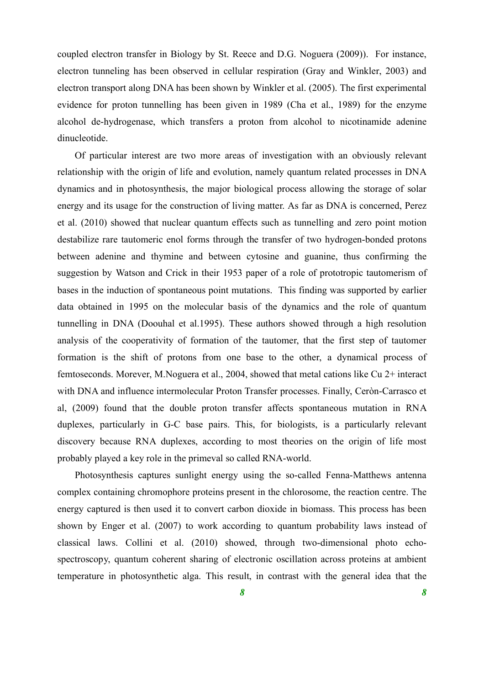coupled electron transfer in Biology by St. Reece and D.G. Noguera (2009)). For instance, electron tunneling has been observed in cellular respiration (Gray and Winkler, 2003) and electron transport along DNA has been shown by Winkler et al. (2005). The first experimental evidence for proton tunnelling has been given in 1989 (Cha et al., 1989) for the enzyme alcohol de-hydrogenase, which transfers a proton from alcohol to nicotinamide adenine dinucleotide.

Of particular interest are two more areas of investigation with an obviously relevant relationship with the origin of life and evolution, namely quantum related processes in DNA dynamics and in photosynthesis, the major biological process allowing the storage of solar energy and its usage for the construction of living matter. As far as DNA is concerned, Perez et al. (2010) showed that nuclear quantum effects such as tunnelling and zero point motion destabilize rare tautomeric enol forms through the transfer of two hydrogen-bonded protons between adenine and thymine and between cytosine and guanine, thus confirming the suggestion by Watson and Crick in their 1953 paper of a role of prototropic tautomerism of bases in the induction of spontaneous point mutations. This finding was supported by earlier data obtained in 1995 on the molecular basis of the dynamics and the role of quantum tunnelling in DNA (Doouhal et al.1995). These authors showed through a high resolution analysis of the cooperativity of formation of the tautomer, that the first step of tautomer formation is the shift of protons from one base to the other, a dynamical process of femtoseconds. Morever, M.Noguera et al., 2004, showed that metal cations like Cu 2+ interact with DNA and influence intermolecular Proton Transfer processes. Finally, Ceròn-Carrasco et al, (2009) found that the double proton transfer affects spontaneous mutation in RNA duplexes, particularly in G-C base pairs. This, for biologists, is a particularly relevant discovery because RNA duplexes, according to most theories on the origin of life most probably played a key role in the primeval so called RNA-world.

Photosynthesis captures sunlight energy using the so-called Fenna-Matthews antenna complex containing chromophore proteins present in the chlorosome, the reaction centre. The energy captured is then used it to convert carbon dioxide in biomass. This process has been shown by Enger et al. (2007) to work according to quantum probability laws instead of classical laws. Collini et al. (2010) showed, through two-dimensional photo echospectroscopy, quantum coherent sharing of electronic oscillation across proteins at ambient temperature in photosynthetic alga. This result, in contrast with the general idea that the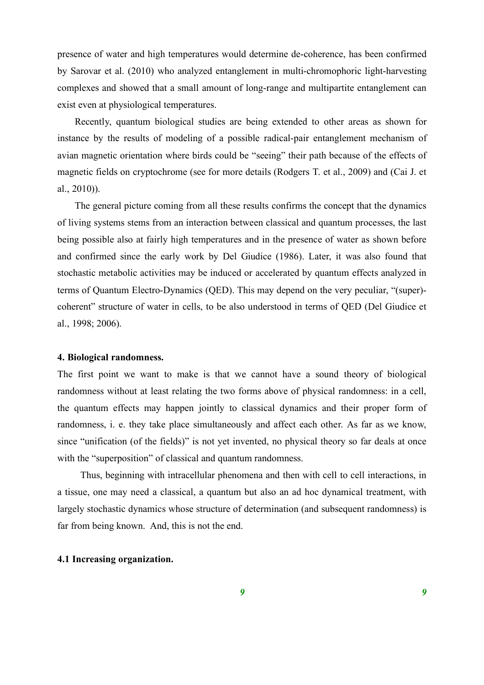presence of water and high temperatures would determine de-coherence, has been confirmed by Sarovar et al. (2010) who analyzed entanglement in multi-chromophoric light-harvesting complexes and showed that a small amount of long-range and multipartite entanglement can exist even at physiological temperatures.

Recently, quantum biological studies are being extended to other areas as shown for instance by the results of modeling of a possible radical-pair entanglement mechanism of avian magnetic orientation where birds could be "seeing" their path because of the effects of magnetic fields on cryptochrome (see for more details (Rodgers T. et al., 2009) and (Cai J. et al., 2010)).

The general picture coming from all these results confirms the concept that the dynamics of living systems stems from an interaction between classical and quantum processes, the last being possible also at fairly high temperatures and in the presence of water as shown before and confirmed since the early work by Del Giudice (1986). Later, it was also found that stochastic metabolic activities may be induced or accelerated by quantum effects analyzed in terms of Quantum Electro-Dynamics (QED). This may depend on the very peculiar, "(super) coherent" structure of water in cells, to be also understood in terms of QED (Del Giudice et al., 1998; 2006).

### **4. Biological randomness.**

The first point we want to make is that we cannot have a sound theory of biological randomness without at least relating the two forms above of physical randomness: in a cell, the quantum effects may happen jointly to classical dynamics and their proper form of randomness, i. e. they take place simultaneously and affect each other. As far as we know, since "unification (of the fields)" is not yet invented, no physical theory so far deals at once with the "superposition" of classical and quantum randomness.

Thus, beginning with intracellular phenomena and then with cell to cell interactions, in a tissue, one may need a classical, a quantum but also an ad hoc dynamical treatment, with largely stochastic dynamics whose structure of determination (and subsequent randomness) is far from being known. And, this is not the end.

# **4.1 Increasing organization.**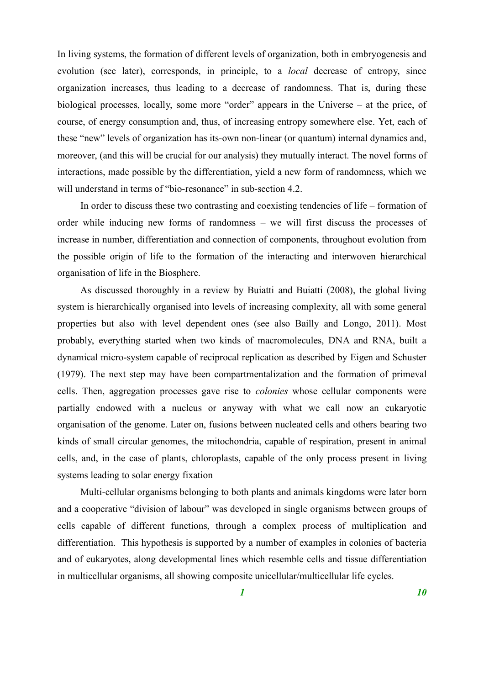In living systems, the formation of different levels of organization, both in embryogenesis and evolution (see later), corresponds, in principle, to a *local* decrease of entropy, since organization increases, thus leading to a decrease of randomness. That is, during these biological processes, locally, some more "order" appears in the Universe – at the price, of course, of energy consumption and, thus, of increasing entropy somewhere else. Yet, each of these "new" levels of organization has its-own non-linear (or quantum) internal dynamics and, moreover, (and this will be crucial for our analysis) they mutually interact. The novel forms of interactions, made possible by the differentiation, yield a new form of randomness, which we will understand in terms of "bio-resonance" in sub-section 4.2.

In order to discuss these two contrasting and coexisting tendencies of life – formation of order while inducing new forms of randomness – we will first discuss the processes of increase in number, differentiation and connection of components, throughout evolution from the possible origin of life to the formation of the interacting and interwoven hierarchical organisation of life in the Biosphere.

As discussed thoroughly in a review by Buiatti and Buiatti (2008), the global living system is hierarchically organised into levels of increasing complexity, all with some general properties but also with level dependent ones (see also Bailly and Longo, 2011). Most probably, everything started when two kinds of macromolecules, DNA and RNA, built a dynamical micro-system capable of reciprocal replication as described by Eigen and Schuster (1979). The next step may have been compartmentalization and the formation of primeval cells. Then, aggregation processes gave rise to *colonies* whose cellular components were partially endowed with a nucleus or anyway with what we call now an eukaryotic organisation of the genome. Later on, fusions between nucleated cells and others bearing two kinds of small circular genomes, the mitochondria, capable of respiration, present in animal cells, and, in the case of plants, chloroplasts, capable of the only process present in living systems leading to solar energy fixation

Multi-cellular organisms belonging to both plants and animals kingdoms were later born and a cooperative "division of labour" was developed in single organisms between groups of cells capable of different functions, through a complex process of multiplication and differentiation. This hypothesis is supported by a number of examples in colonies of bacteria and of eukaryotes, along developmental lines which resemble cells and tissue differentiation in multicellular organisms, all showing composite unicellular/multicellular life cycles.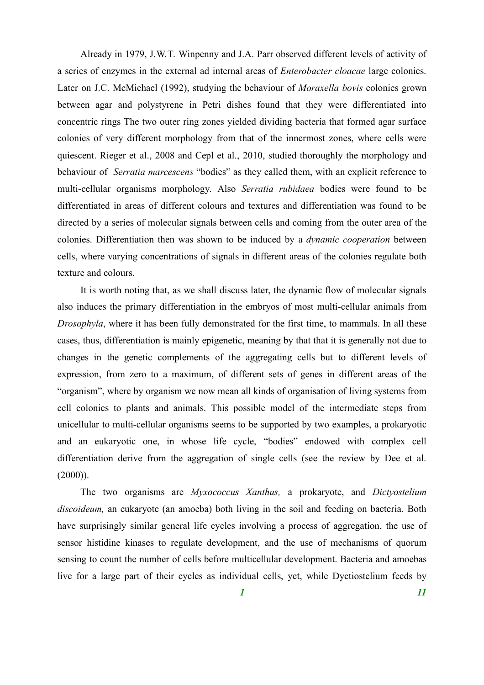Already in 1979, J.W.T. Winpenny and J.A. Parr observed different levels of activity of a series of enzymes in the external ad internal areas of *Enterobacter cloacae* large colonies. Later on J.C. McMichael (1992), studying the behaviour of *Moraxella bovis* colonies grown between agar and polystyrene in Petri dishes found that they were differentiated into concentric rings The two outer ring zones yielded dividing bacteria that formed agar surface colonies of very different morphology from that of the innermost zones, where cells were quiescent. Rieger et al., 2008 and Cepl et al., 2010, studied thoroughly the morphology and behaviour of *Serratia marcescens* "bodies" as they called them, with an explicit reference to multi-cellular organisms morphology. Also *Serratia rubidaea* bodies were found to be differentiated in areas of different colours and textures and differentiation was found to be directed by a series of molecular signals between cells and coming from the outer area of the colonies. Differentiation then was shown to be induced by a *dynamic cooperation* between cells, where varying concentrations of signals in different areas of the colonies regulate both texture and colours.

It is worth noting that, as we shall discuss later, the dynamic flow of molecular signals also induces the primary differentiation in the embryos of most multi-cellular animals from *Drosophyla*, where it has been fully demonstrated for the first time, to mammals. In all these cases, thus, differentiation is mainly epigenetic, meaning by that that it is generally not due to changes in the genetic complements of the aggregating cells but to different levels of expression, from zero to a maximum, of different sets of genes in different areas of the "organism", where by organism we now mean all kinds of organisation of living systems from cell colonies to plants and animals. This possible model of the intermediate steps from unicellular to multi-cellular organisms seems to be supported by two examples, a prokaryotic and an eukaryotic one, in whose life cycle, "bodies" endowed with complex cell differentiation derive from the aggregation of single cells (see the review by Dee et al.  $(2000)$ ).

The two organisms are *Myxococcus Xanthus,* a prokaryote, and *Dictyostelium discoideum,* an eukaryote (an amoeba) both living in the soil and feeding on bacteria. Both have surprisingly similar general life cycles involving a process of aggregation, the use of sensor histidine kinases to regulate development, and the use of mechanisms of quorum sensing to count the number of cells before multicellular development. Bacteria and amoebas live for a large part of their cycles as individual cells, yet, while Dyctiostelium feeds by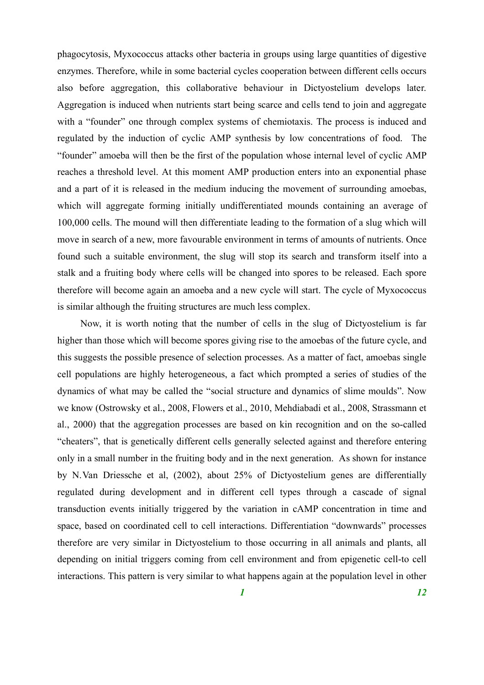phagocytosis, Myxococcus attacks other bacteria in groups using large quantities of digestive enzymes. Therefore, while in some bacterial cycles cooperation between different cells occurs also before aggregation, this collaborative behaviour in Dictyostelium develops later. Aggregation is induced when nutrients start being scarce and cells tend to join and aggregate with a "founder" one through complex systems of chemiotaxis. The process is induced and regulated by the induction of cyclic AMP synthesis by low concentrations of food. The "founder" amoeba will then be the first of the population whose internal level of cyclic AMP reaches a threshold level. At this moment AMP production enters into an exponential phase and a part of it is released in the medium inducing the movement of surrounding amoebas, which will aggregate forming initially undifferentiated mounds containing an average of 100,000 cells. The mound will then differentiate leading to the formation of a slug which will move in search of a new, more favourable environment in terms of amounts of nutrients. Once found such a suitable environment, the slug will stop its search and transform itself into a stalk and a fruiting body where cells will be changed into spores to be released. Each spore therefore will become again an amoeba and a new cycle will start. The cycle of Myxococcus is similar although the fruiting structures are much less complex.

Now, it is worth noting that the number of cells in the slug of Dictyostelium is far higher than those which will become spores giving rise to the amoebas of the future cycle, and this suggests the possible presence of selection processes. As a matter of fact, amoebas single cell populations are highly heterogeneous, a fact which prompted a series of studies of the dynamics of what may be called the "social structure and dynamics of slime moulds". Now we know (Ostrowsky et al., 2008, Flowers et al., 2010, Mehdiabadi et al., 2008, Strassmann et al., 2000) that the aggregation processes are based on kin recognition and on the so-called "cheaters", that is genetically different cells generally selected against and therefore entering only in a small number in the fruiting body and in the next generation. As shown for instance by N.Van Driessche et al, (2002), about 25% of Dictyostelium genes are differentially regulated during development and in different cell types through a cascade of signal transduction events initially triggered by the variation in cAMP concentration in time and space, based on coordinated cell to cell interactions. Differentiation "downwards" processes therefore are very similar in Dictyostelium to those occurring in all animals and plants, all depending on initial triggers coming from cell environment and from epigenetic cell-to cell interactions. This pattern is very similar to what happens again at the population level in other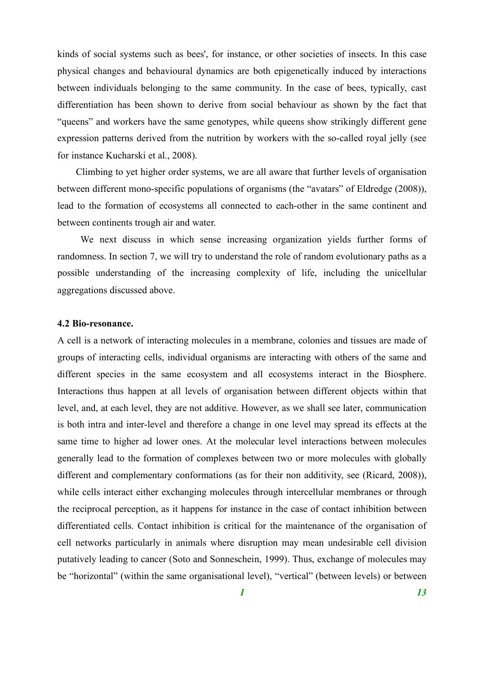kinds of social systems such as bees', for instance, or other societies of insects. In this case physical changes and behavioural dynamics are both epigenetically induced by interactions between individuals belonging to the same community. In the case of bees, typically, cast differentiation has been shown to derive from social behaviour as shown by the fact that "queens" and workers have the same genotypes, while queens show strikingly different gene expression patterns derived from the nutrition by workers with the so-called royal jelly (see for instance Kucharski et al., 2008).

Climbing to yet higher order systems, we are all aware that further levels of organisation between different mono-specific populations of organisms (the "avatars" of Eldredge (2008)), lead to the formation of ecosystems all connected to each-other in the same continent and between continents trough air and water.

We next discuss in which sense increasing organization yields further forms of randomness. In section 7, we will try to understand the role of random evolutionary paths as a possible understanding of the increasing complexity of life, including the unicellular aggregations discussed above.

#### **4.2 Bio-resonance.**

A cell is a network of interacting molecules in a membrane, colonies and tissues are made of groups of interacting cells, individual organisms are interacting with others of the same and different species in the same ecosystem and all ecosystems interact in the Biosphere. Interactions thus happen at all levels of organisation between different objects within that level, and, at each level, they are not additive. However, as we shall see later, communication is both intra and inter-level and therefore a change in one level may spread its effects at the same time to higher ad lower ones. At the molecular level interactions between molecules generally lead to the formation of complexes between two or more molecules with globally different and complementary conformations (as for their non additivity, see (Ricard, 2008)), while cells interact either exchanging molecules through intercellular membranes or through the reciprocal perception, as it happens for instance in the case of contact inhibition between differentiated cells. Contact inhibition is critical for the maintenance of the organisation of cell networks particularly in animals where disruption may mean undesirable cell division putatively leading to cancer (Soto and Sonneschein, 1999). Thus, exchange of molecules may be "horizontal" (within the same organisational level), "vertical" (between levels) or between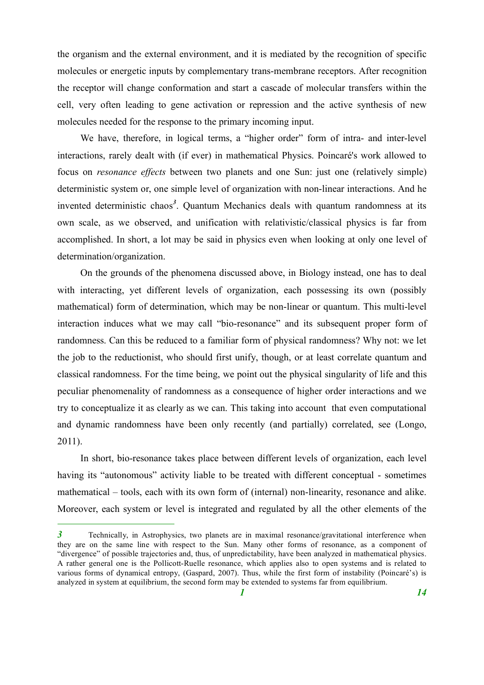the organism and the external environment, and it is mediated by the recognition of specific molecules or energetic inputs by complementary trans-membrane receptors. After recognition the receptor will change conformation and start a cascade of molecular transfers within the cell, very often leading to gene activation or repression and the active synthesis of new molecules needed for the response to the primary incoming input.

We have, therefore, in logical terms, a "higher order" form of intra- and inter-level interactions, rarely dealt with (if ever) in mathematical Physics. Poincaré's work allowed to focus on *resonance effects* between two planets and one Sun: just one (relatively simple) deterministic system or, one simple level of organization with non-linear interactions. And he invented deterministic chaos *3* . Quantum Mechanics deals with quantum randomness at its own scale, as we observed, and unification with relativistic/classical physics is far from accomplished. In short, a lot may be said in physics even when looking at only one level of determination/organization.

On the grounds of the phenomena discussed above, in Biology instead, one has to deal with interacting, yet different levels of organization, each possessing its own (possibly mathematical) form of determination, which may be non-linear or quantum. This multi-level interaction induces what we may call "bio-resonance" and its subsequent proper form of randomness. Can this be reduced to a familiar form of physical randomness? Why not: we let the job to the reductionist, who should first unify, though, or at least correlate quantum and classical randomness. For the time being, we point out the physical singularity of life and this peculiar phenomenality of randomness as a consequence of higher order interactions and we try to conceptualize it as clearly as we can. This taking into account that even computational and dynamic randomness have been only recently (and partially) correlated, see (Longo, 2011).

In short, bio-resonance takes place between different levels of organization, each level having its "autonomous" activity liable to be treated with different conceptual - sometimes mathematical – tools, each with its own form of (internal) non-linearity, resonance and alike. Moreover, each system or level is integrated and regulated by all the other elements of the

*<sup>3</sup>* Technically, in Astrophysics, two planets are in maximal resonance/gravitational interference when they are on the same line with respect to the Sun. Many other forms of resonance, as a component of "divergence" of possible trajectories and, thus, of unpredictability, have been analyzed in mathematical physics. A rather general one is the Pollicott-Ruelle resonance, which applies also to open systems and is related to various forms of dynamical entropy, (Gaspard, 2007). Thus, while the first form of instability (Poincaré's) is analyzed in system at equilibrium, the second form may be extended to systems far from equilibrium.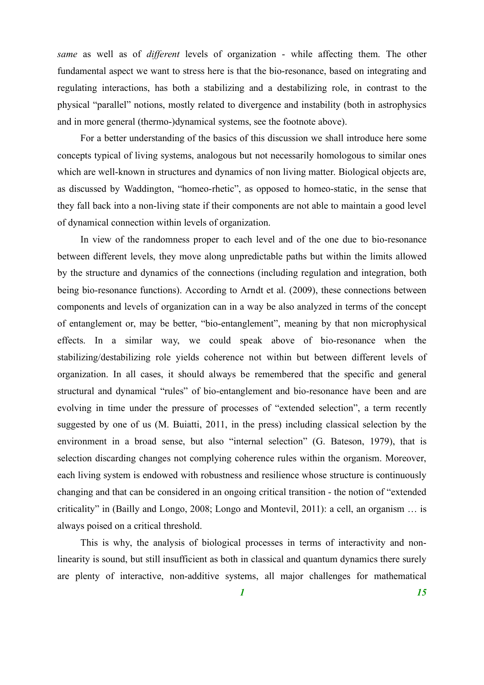*same* as well as of *different* levels of organization - while affecting them. The other fundamental aspect we want to stress here is that the bio-resonance, based on integrating and regulating interactions, has both a stabilizing and a destabilizing role, in contrast to the physical "parallel" notions, mostly related to divergence and instability (both in astrophysics and in more general (thermo-)dynamical systems, see the footnote above).

For a better understanding of the basics of this discussion we shall introduce here some concepts typical of living systems, analogous but not necessarily homologous to similar ones which are well-known in structures and dynamics of non living matter. Biological objects are, as discussed by Waddington, "homeo-rhetic", as opposed to homeo-static, in the sense that they fall back into a non-living state if their components are not able to maintain a good level of dynamical connection within levels of organization.

In view of the randomness proper to each level and of the one due to bio-resonance between different levels, they move along unpredictable paths but within the limits allowed by the structure and dynamics of the connections (including regulation and integration, both being bio-resonance functions). According to Arndt et al. (2009), these connections between components and levels of organization can in a way be also analyzed in terms of the concept of entanglement or, may be better, "bio-entanglement", meaning by that non microphysical effects. In a similar way, we could speak above of bio-resonance when the stabilizing/destabilizing role yields coherence not within but between different levels of organization. In all cases, it should always be remembered that the specific and general structural and dynamical "rules" of bio-entanglement and bio-resonance have been and are evolving in time under the pressure of processes of "extended selection", a term recently suggested by one of us (M. Buiatti, 2011, in the press) including classical selection by the environment in a broad sense, but also "internal selection" (G. Bateson, 1979), that is selection discarding changes not complying coherence rules within the organism. Moreover, each living system is endowed with robustness and resilience whose structure is continuously changing and that can be considered in an ongoing critical transition - the notion of "extended criticality" in (Bailly and Longo, 2008; Longo and Montevil, 2011): a cell, an organism … is always poised on a critical threshold.

This is why, the analysis of biological processes in terms of interactivity and nonlinearity is sound, but still insufficient as both in classical and quantum dynamics there surely are plenty of interactive, non-additive systems, all major challenges for mathematical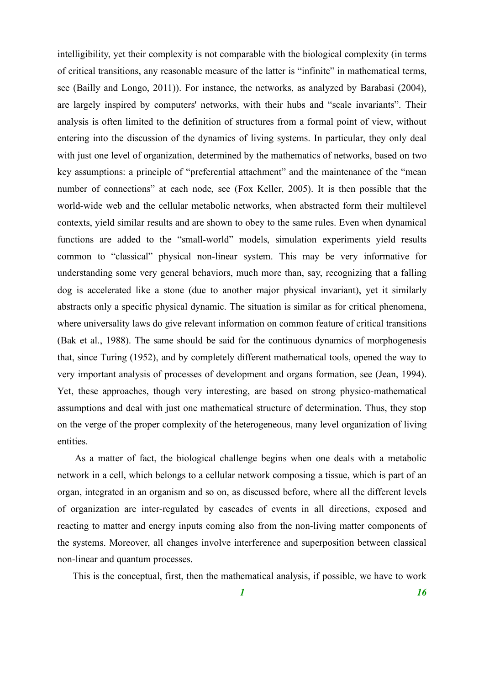intelligibility, yet their complexity is not comparable with the biological complexity (in terms of critical transitions, any reasonable measure of the latter is "infinite" in mathematical terms, see (Bailly and Longo, 2011)). For instance, the networks, as analyzed by Barabasi (2004), are largely inspired by computers' networks, with their hubs and "scale invariants". Their analysis is often limited to the definition of structures from a formal point of view, without entering into the discussion of the dynamics of living systems. In particular, they only deal with just one level of organization, determined by the mathematics of networks, based on two key assumptions: a principle of "preferential attachment" and the maintenance of the "mean number of connections" at each node, see (Fox Keller, 2005). It is then possible that the world-wide web and the cellular metabolic networks, when abstracted form their multilevel contexts, yield similar results and are shown to obey to the same rules. Even when dynamical functions are added to the "small-world" models, simulation experiments yield results common to "classical" physical non-linear system. This may be very informative for understanding some very general behaviors, much more than, say, recognizing that a falling dog is accelerated like a stone (due to another major physical invariant), yet it similarly abstracts only a specific physical dynamic. The situation is similar as for critical phenomena, where universality laws do give relevant information on common feature of critical transitions (Bak et al., 1988). The same should be said for the continuous dynamics of morphogenesis that, since Turing (1952), and by completely different mathematical tools, opened the way to very important analysis of processes of development and organs formation, see (Jean, 1994). Yet, these approaches, though very interesting, are based on strong physico-mathematical assumptions and deal with just one mathematical structure of determination. Thus, they stop on the verge of the proper complexity of the heterogeneous, many level organization of living entities.

As a matter of fact, the biological challenge begins when one deals with a metabolic network in a cell, which belongs to a cellular network composing a tissue, which is part of an organ, integrated in an organism and so on, as discussed before, where all the different levels of organization are inter-regulated by cascades of events in all directions, exposed and reacting to matter and energy inputs coming also from the non-living matter components of the systems. Moreover, all changes involve interference and superposition between classical non-linear and quantum processes.

This is the conceptual, first, then the mathematical analysis, if possible, we have to work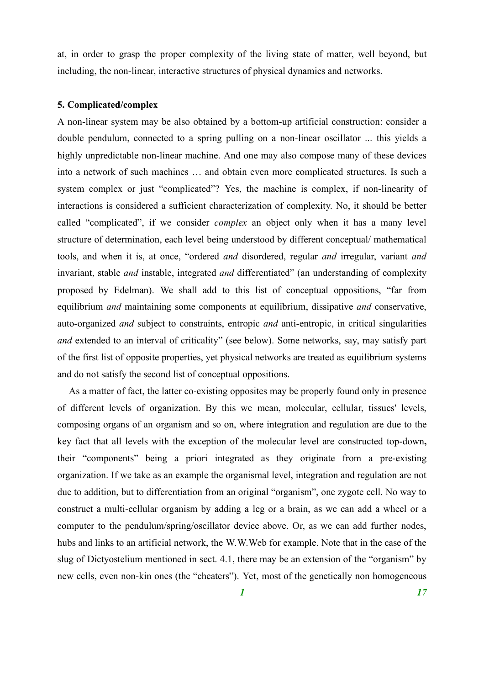at, in order to grasp the proper complexity of the living state of matter, well beyond, but including, the non-linear, interactive structures of physical dynamics and networks.

## **5. Complicated/complex**

A non-linear system may be also obtained by a bottom-up artificial construction: consider a double pendulum, connected to a spring pulling on a non-linear oscillator ... this yields a highly unpredictable non-linear machine. And one may also compose many of these devices into a network of such machines … and obtain even more complicated structures. Is such a system complex or just "complicated"? Yes, the machine is complex, if non-linearity of interactions is considered a sufficient characterization of complexity. No, it should be better called "complicated", if we consider *complex* an object only when it has a many level structure of determination, each level being understood by different conceptual/ mathematical tools, and when it is, at once, "ordered *and* disordered, regular *and* irregular, variant *and* invariant, stable *and* instable, integrated *and* differentiated" (an understanding of complexity proposed by Edelman). We shall add to this list of conceptual oppositions, "far from equilibrium *and* maintaining some components at equilibrium, dissipative *and* conservative, auto-organized *and* subject to constraints, entropic *and* anti-entropic, in critical singularities *and* extended to an interval of criticality" (see below). Some networks, say, may satisfy part of the first list of opposite properties, yet physical networks are treated as equilibrium systems and do not satisfy the second list of conceptual oppositions.

As a matter of fact, the latter co-existing opposites may be properly found only in presence of different levels of organization. By this we mean, molecular, cellular, tissues' levels, composing organs of an organism and so on, where integration and regulation are due to the key fact that all levels with the exception of the molecular level are constructed top-down**,** their "components" being a priori integrated as they originate from a pre-existing organization. If we take as an example the organismal level, integration and regulation are not due to addition, but to differentiation from an original "organism", one zygote cell. No way to construct a multi-cellular organism by adding a leg or a brain, as we can add a wheel or a computer to the pendulum/spring/oscillator device above. Or, as we can add further nodes, hubs and links to an artificial network, the W.W.Web for example. Note that in the case of the slug of Dictyostelium mentioned in sect. 4.1, there may be an extension of the "organism" by new cells, even non-kin ones (the "cheaters"). Yet, most of the genetically non homogeneous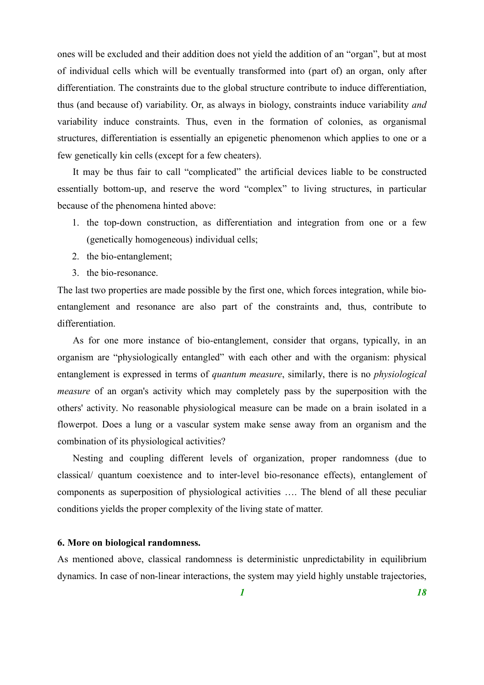ones will be excluded and their addition does not yield the addition of an "organ", but at most of individual cells which will be eventually transformed into (part of) an organ, only after differentiation. The constraints due to the global structure contribute to induce differentiation, thus (and because of) variability. Or, as always in biology, constraints induce variability *and* variability induce constraints. Thus, even in the formation of colonies, as organismal structures, differentiation is essentially an epigenetic phenomenon which applies to one or a few genetically kin cells (except for a few cheaters).

It may be thus fair to call "complicated" the artificial devices liable to be constructed essentially bottom-up, and reserve the word "complex" to living structures, in particular because of the phenomena hinted above:

- 1. the top-down construction, as differentiation and integration from one or a few (genetically homogeneous) individual cells;
- 2. the bio-entanglement;
- 3. the bio-resonance.

The last two properties are made possible by the first one, which forces integration, while bioentanglement and resonance are also part of the constraints and, thus, contribute to differentiation.

As for one more instance of bio-entanglement, consider that organs, typically, in an organism are "physiologically entangled" with each other and with the organism: physical entanglement is expressed in terms of *quantum measure*, similarly, there is no *physiological measure* of an organ's activity which may completely pass by the superposition with the others' activity. No reasonable physiological measure can be made on a brain isolated in a flowerpot. Does a lung or a vascular system make sense away from an organism and the combination of its physiological activities?

Nesting and coupling different levels of organization, proper randomness (due to classical/ quantum coexistence and to inter-level bio-resonance effects), entanglement of components as superposition of physiological activities …. The blend of all these peculiar conditions yields the proper complexity of the living state of matter.

## **6. More on biological randomness.**

As mentioned above, classical randomness is deterministic unpredictability in equilibrium dynamics. In case of non-linear interactions, the system may yield highly unstable trajectories,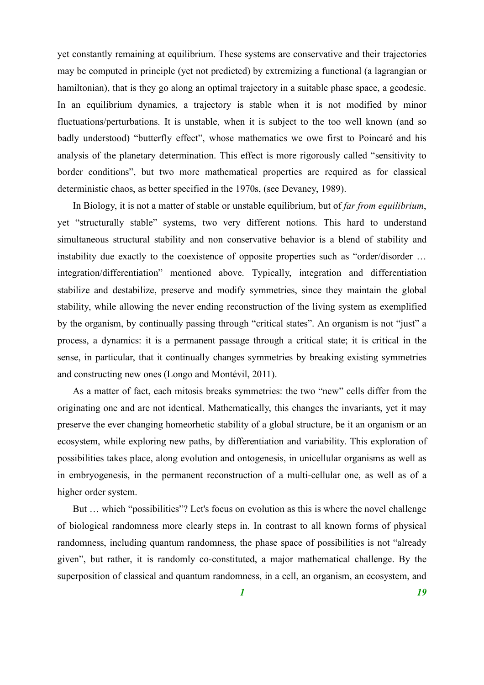yet constantly remaining at equilibrium. These systems are conservative and their trajectories may be computed in principle (yet not predicted) by extremizing a functional (a lagrangian or hamiltonian), that is they go along an optimal trajectory in a suitable phase space, a geodesic. In an equilibrium dynamics, a trajectory is stable when it is not modified by minor fluctuations/perturbations. It is unstable, when it is subject to the too well known (and so badly understood) "butterfly effect", whose mathematics we owe first to Poincaré and his analysis of the planetary determination. This effect is more rigorously called "sensitivity to border conditions", but two more mathematical properties are required as for classical deterministic chaos, as better specified in the 1970s, (see Devaney, 1989).

In Biology, it is not a matter of stable or unstable equilibrium, but of *far from equilibrium*, yet "structurally stable" systems, two very different notions. This hard to understand simultaneous structural stability and non conservative behavior is a blend of stability and instability due exactly to the coexistence of opposite properties such as "order/disorder … integration/differentiation" mentioned above. Typically, integration and differentiation stabilize and destabilize, preserve and modify symmetries, since they maintain the global stability, while allowing the never ending reconstruction of the living system as exemplified by the organism, by continually passing through "critical states". An organism is not "just" a process, a dynamics: it is a permanent passage through a critical state; it is critical in the sense, in particular, that it continually changes symmetries by breaking existing symmetries and constructing new ones (Longo and Montévil, 2011).

As a matter of fact, each mitosis breaks symmetries: the two "new" cells differ from the originating one and are not identical. Mathematically, this changes the invariants, yet it may preserve the ever changing homeorhetic stability of a global structure, be it an organism or an ecosystem, while exploring new paths, by differentiation and variability. This exploration of possibilities takes place, along evolution and ontogenesis, in unicellular organisms as well as in embryogenesis, in the permanent reconstruction of a multi-cellular one, as well as of a higher order system.

But … which "possibilities"? Let's focus on evolution as this is where the novel challenge of biological randomness more clearly steps in. In contrast to all known forms of physical randomness, including quantum randomness, the phase space of possibilities is not "already given", but rather, it is randomly co-constituted, a major mathematical challenge. By the superposition of classical and quantum randomness, in a cell, an organism, an ecosystem, and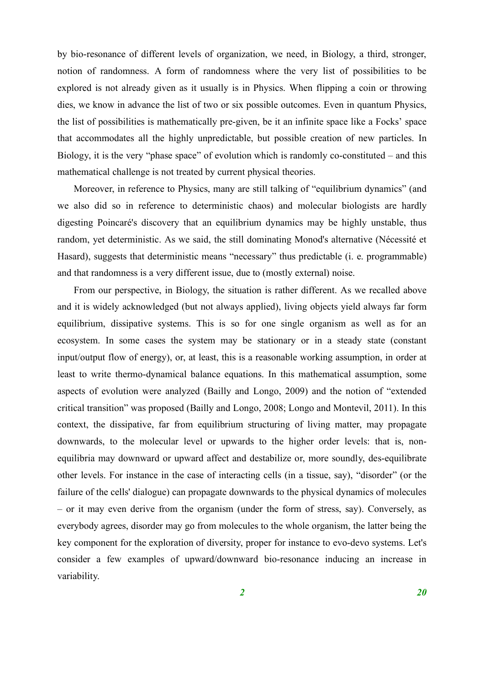by bio-resonance of different levels of organization, we need, in Biology, a third, stronger, notion of randomness. A form of randomness where the very list of possibilities to be explored is not already given as it usually is in Physics. When flipping a coin or throwing dies, we know in advance the list of two or six possible outcomes. Even in quantum Physics, the list of possibilities is mathematically pre-given, be it an infinite space like a Focks' space that accommodates all the highly unpredictable, but possible creation of new particles. In Biology, it is the very "phase space" of evolution which is randomly co-constituted – and this mathematical challenge is not treated by current physical theories.

Moreover, in reference to Physics, many are still talking of "equilibrium dynamics" (and we also did so in reference to deterministic chaos) and molecular biologists are hardly digesting Poincaré's discovery that an equilibrium dynamics may be highly unstable, thus random, yet deterministic. As we said, the still dominating Monod's alternative (Nécessité et Hasard), suggests that deterministic means "necessary" thus predictable (i. e. programmable) and that randomness is a very different issue, due to (mostly external) noise.

From our perspective, in Biology, the situation is rather different. As we recalled above and it is widely acknowledged (but not always applied), living objects yield always far form equilibrium, dissipative systems. This is so for one single organism as well as for an ecosystem. In some cases the system may be stationary or in a steady state (constant input/output flow of energy), or, at least, this is a reasonable working assumption, in order at least to write thermo-dynamical balance equations. In this mathematical assumption, some aspects of evolution were analyzed (Bailly and Longo, 2009) and the notion of "extended critical transition" was proposed (Bailly and Longo, 2008; Longo and Montevil, 2011). In this context, the dissipative, far from equilibrium structuring of living matter, may propagate downwards, to the molecular level or upwards to the higher order levels: that is, nonequilibria may downward or upward affect and destabilize or, more soundly, des-equilibrate other levels. For instance in the case of interacting cells (in a tissue, say), "disorder" (or the failure of the cells' dialogue) can propagate downwards to the physical dynamics of molecules – or it may even derive from the organism (under the form of stress, say). Conversely, as everybody agrees, disorder may go from molecules to the whole organism, the latter being the key component for the exploration of diversity, proper for instance to evo-devo systems. Let's consider a few examples of upward/downward bio-resonance inducing an increase in variability.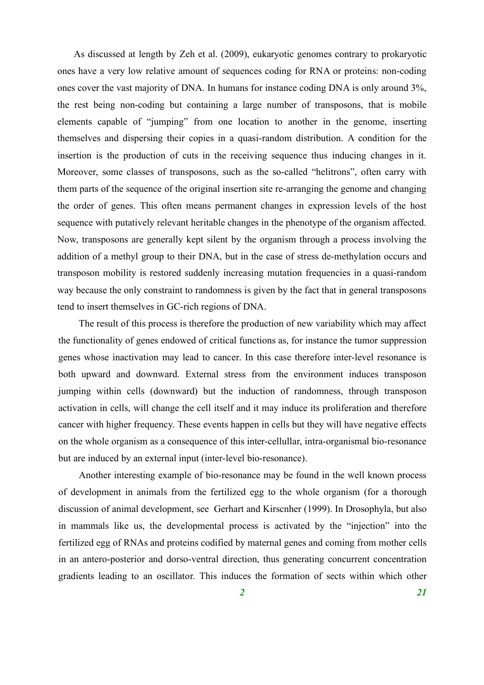As discussed at length by Zeh et al. (2009), eukaryotic genomes contrary to prokaryotic ones have a very low relative amount of sequences coding for RNA or proteins: non-coding ones cover the vast majority of DNA. In humans for instance coding DNA is only around 3%, the rest being non-coding but containing a large number of transposons, that is mobile elements capable of "jumping" from one location to another in the genome, inserting themselves and dispersing their copies in a quasi-random distribution. A condition for the insertion is the production of cuts in the receiving sequence thus inducing changes in it. Moreover, some classes of transposons, such as the so-called "helitrons", often carry with them parts of the sequence of the original insertion site re-arranging the genome and changing the order of genes. This often means permanent changes in expression levels of the host sequence with putatively relevant heritable changes in the phenotype of the organism affected. Now, transposons are generally kept silent by the organism through a process involving the addition of a methyl group to their DNA, but in the case of stress de-methylation occurs and transposon mobility is restored suddenly increasing mutation frequencies in a quasi-random way because the only constraint to randomness is given by the fact that in general transposons tend to insert themselves in GC-rich regions of DNA.

The result of this process is therefore the production of new variability which may affect the functionality of genes endowed of critical functions as, for instance the tumor suppression genes whose inactivation may lead to cancer. In this case therefore inter-level resonance is both upward and downward. External stress from the environment induces transposon jumping within cells (downward) but the induction of randomness, through transposon activation in cells, will change the cell itself and it may induce its proliferation and therefore cancer with higher frequency. These events happen in cells but they will have negative effects on the whole organism as a consequence of this inter-cellullar, intra-organismal bio-resonance but are induced by an external input (inter-level bio-resonance).

Another interesting example of bio-resonance may be found in the well known process of development in animals from the fertilized egg to the whole organism (for a thorough discussion of animal development, see Gerhart and Kirscnher (1999). In Drosophyla, but also in mammals like us, the developmental process is activated by the "injection" into the fertilized egg of RNAs and proteins codified by maternal genes and coming from mother cells in an antero-posterior and dorso-ventral direction, thus generating concurrent concentration gradients leading to an oscillator. This induces the formation of sects within which other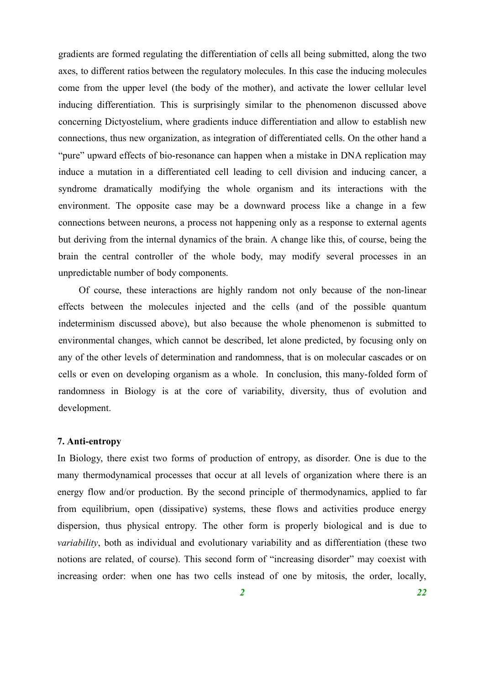gradients are formed regulating the differentiation of cells all being submitted, along the two axes, to different ratios between the regulatory molecules. In this case the inducing molecules come from the upper level (the body of the mother), and activate the lower cellular level inducing differentiation. This is surprisingly similar to the phenomenon discussed above concerning Dictyostelium, where gradients induce differentiation and allow to establish new connections, thus new organization, as integration of differentiated cells. On the other hand a "pure" upward effects of bio-resonance can happen when a mistake in DNA replication may induce a mutation in a differentiated cell leading to cell division and inducing cancer, a syndrome dramatically modifying the whole organism and its interactions with the environment. The opposite case may be a downward process like a change in a few connections between neurons, a process not happening only as a response to external agents but deriving from the internal dynamics of the brain. A change like this, of course, being the brain the central controller of the whole body, may modify several processes in an unpredictable number of body components.

Of course, these interactions are highly random not only because of the non-linear effects between the molecules injected and the cells (and of the possible quantum indeterminism discussed above), but also because the whole phenomenon is submitted to environmental changes, which cannot be described, let alone predicted, by focusing only on any of the other levels of determination and randomness, that is on molecular cascades or on cells or even on developing organism as a whole. In conclusion, this many-folded form of randomness in Biology is at the core of variability, diversity, thus of evolution and development.

# **7. Anti-entropy**

In Biology, there exist two forms of production of entropy, as disorder. One is due to the many thermodynamical processes that occur at all levels of organization where there is an energy flow and/or production. By the second principle of thermodynamics, applied to far from equilibrium, open (dissipative) systems, these flows and activities produce energy dispersion, thus physical entropy. The other form is properly biological and is due to *variability*, both as individual and evolutionary variability and as differentiation (these two notions are related, of course). This second form of "increasing disorder" may coexist with increasing order: when one has two cells instead of one by mitosis, the order, locally,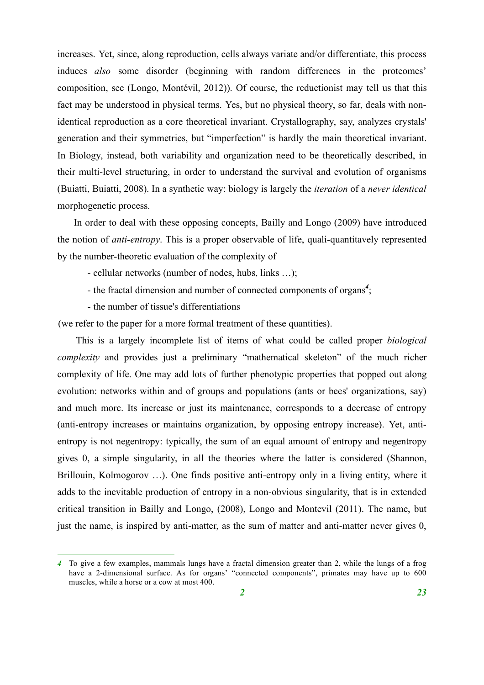increases. Yet, since, along reproduction, cells always variate and/or differentiate, this process induces *also* some disorder (beginning with random differences in the proteomes' composition, see (Longo, Montévil, 2012)). Of course, the reductionist may tell us that this fact may be understood in physical terms. Yes, but no physical theory, so far, deals with nonidentical reproduction as a core theoretical invariant. Crystallography, say, analyzes crystals' generation and their symmetries, but "imperfection" is hardly the main theoretical invariant. In Biology, instead, both variability and organization need to be theoretically described, in their multi-level structuring, in order to understand the survival and evolution of organisms (Buiatti, Buiatti, 2008). In a synthetic way: biology is largely the *iteration* of a *never identical* morphogenetic process.

In order to deal with these opposing concepts, Bailly and Longo (2009) have introduced the notion of *anti-entropy*. This is a proper observable of life, quali-quantitavely represented by the number-theoretic evaluation of the complexity of

- cellular networks (number of nodes, hubs, links …);
- the fractal dimension and number of connected components of organs*<sup>4</sup>* ;
- the number of tissue's differentiations

(we refer to the paper for a more formal treatment of these quantities).

This is a largely incomplete list of items of what could be called proper *biological complexity* and provides just a preliminary "mathematical skeleton" of the much richer complexity of life. One may add lots of further phenotypic properties that popped out along evolution: networks within and of groups and populations (ants or bees' organizations, say) and much more. Its increase or just its maintenance, corresponds to a decrease of entropy (anti-entropy increases or maintains organization, by opposing entropy increase). Yet, antientropy is not negentropy: typically, the sum of an equal amount of entropy and negentropy gives 0, a simple singularity, in all the theories where the latter is considered (Shannon, Brillouin, Kolmogorov …). One finds positive anti-entropy only in a living entity, where it adds to the inevitable production of entropy in a non-obvious singularity, that is in extended critical transition in Bailly and Longo, (2008), Longo and Montevil (2011). The name, but just the name, is inspired by anti-matter, as the sum of matter and anti-matter never gives 0,

 *<sup>4</sup>* To give <sup>a</sup> few examples, mammals lungs have <sup>a</sup> fractal dimension greater than 2, while the lungs of <sup>a</sup> frog have a 2-dimensional surface. As for organs' "connected components", primates may have up to 600 muscles, while a horse or a cow at most 400.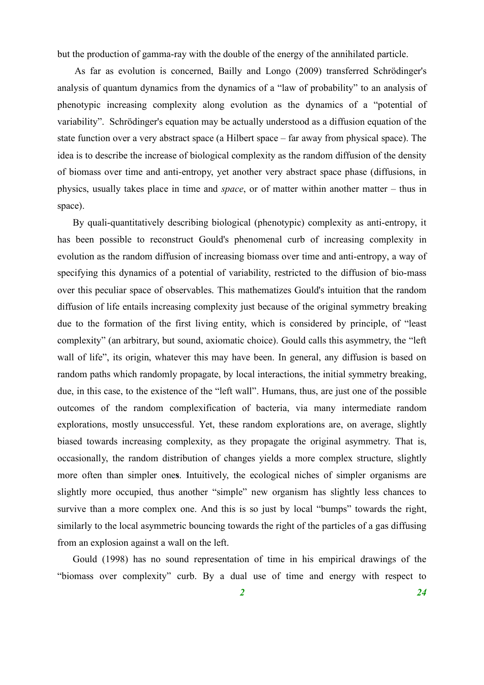but the production of gamma-ray with the double of the energy of the annihilated particle.

As far as evolution is concerned, Bailly and Longo (2009) transferred Schrödinger's analysis of quantum dynamics from the dynamics of a "law of probability" to an analysis of phenotypic increasing complexity along evolution as the dynamics of a "potential of variability". Schrödinger's equation may be actually understood as a diffusion equation of the state function over a very abstract space (a Hilbert space – far away from physical space). The idea is to describe the increase of biological complexity as the random diffusion of the density of biomass over time and anti-entropy, yet another very abstract space phase (diffusions, in physics, usually takes place in time and *space*, or of matter within another matter – thus in space).

By quali-quantitatively describing biological (phenotypic) complexity as anti-entropy, it has been possible to reconstruct Gould's phenomenal curb of increasing complexity in evolution as the random diffusion of increasing biomass over time and anti-entropy, a way of specifying this dynamics of a potential of variability, restricted to the diffusion of bio-mass over this peculiar space of observables. This mathematizes Gould's intuition that the random diffusion of life entails increasing complexity just because of the original symmetry breaking due to the formation of the first living entity, which is considered by principle, of "least complexity" (an arbitrary, but sound, axiomatic choice). Gould calls this asymmetry, the "left wall of life", its origin, whatever this may have been. In general, any diffusion is based on random paths which randomly propagate, by local interactions, the initial symmetry breaking, due, in this case, to the existence of the "left wall". Humans, thus, are just one of the possible outcomes of the random complexification of bacteria, via many intermediate random explorations, mostly unsuccessful. Yet, these random explorations are, on average, slightly biased towards increasing complexity, as they propagate the original asymmetry. That is, occasionally, the random distribution of changes yields a more complex structure, slightly more often than simpler one**s**. Intuitively, the ecological niches of simpler organisms are slightly more occupied, thus another "simple" new organism has slightly less chances to survive than a more complex one. And this is so just by local "bumps" towards the right, similarly to the local asymmetric bouncing towards the right of the particles of a gas diffusing from an explosion against a wall on the left.

Gould (1998) has no sound representation of time in his empirical drawings of the "biomass over complexity" curb. By a dual use of time and energy with respect to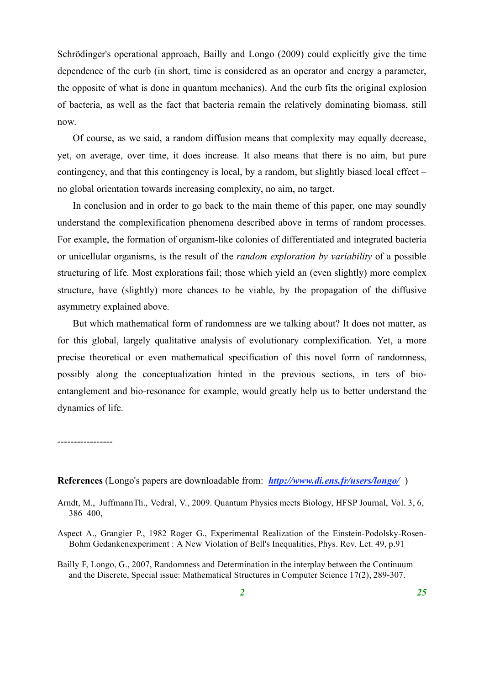Schrödinger's operational approach, Bailly and Longo (2009) could explicitly give the time dependence of the curb (in short, time is considered as an operator and energy a parameter, the opposite of what is done in quantum mechanics). And the curb fits the original explosion of bacteria, as well as the fact that bacteria remain the relatively dominating biomass, still now.

Of course, as we said, a random diffusion means that complexity may equally decrease, yet, on average, over time, it does increase. It also means that there is no aim, but pure contingency, and that this contingency is local, by a random, but slightly biased local effect – no global orientation towards increasing complexity, no aim, no target.

In conclusion and in order to go back to the main theme of this paper, one may soundly understand the complexification phenomena described above in terms of random processes. For example, the formation of organism-like colonies of differentiated and integrated bacteria or unicellular organisms, is the result of the *random exploration by variability* of a possible structuring of life. Most explorations fail; those which yield an (even slightly) more complex structure, have (slightly) more chances to be viable, by the propagation of the diffusive asymmetry explained above.

But which mathematical form of randomness are we talking about? It does not matter, as for this global, largely qualitative analysis of evolutionary complexification. Yet, a more precise theoretical or even mathematical specification of this novel form of randomness, possibly along the conceptualization hinted in the previous sections, in ters of bioentanglement and bio-resonance for example, would greatly help us to better understand the dynamics of life.

-----------------

**References** (Longo's papers are downloadable from: *http://www.di.ens.fr/users/longo/* )

- Arndt, M., JuffmannTh., Vedral, V., 2009. Quantum Physics meets Biology, HFSP Journal, Vol. 3, 6, 386–400,
- Aspect A., Grangier P., 1982 Roger G., Experimental Realization of the Einstein-Podolsky-Rosen-Bohm Gedankenexperiment : A New Violation of Bell's Inequalities, Phys. Rev. Let. 49, p.91
- Bailly F, Longo, G., 2007, Randomness and Determination in the interplay between the Continuum and the Discrete, Special issue: Mathematical Structures in Computer Science 17(2), 289-307.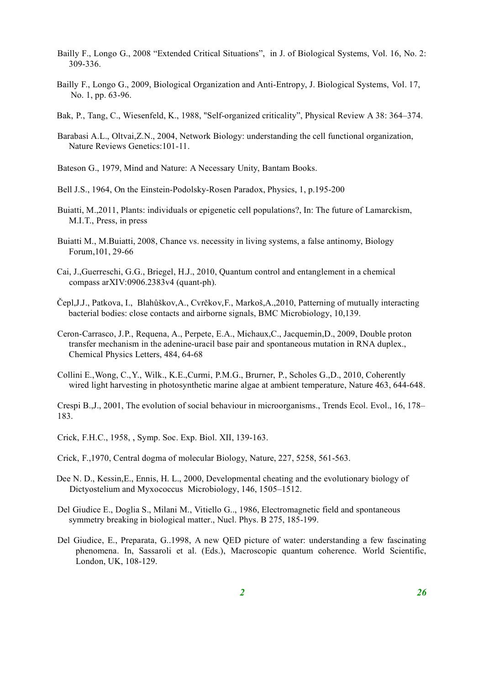- Bailly F., Longo G., 2008 "Extended Critical Situations", in J. of Biological Systems, Vol. 16, No. 2: 309-336.
- Bailly F., Longo G., 2009, Biological Organization and Anti-Entropy, J. Biological Systems, Vol. 17, No. 1, pp. 63-96.
- Bak, P., Tang, C., Wiesenfeld, K., 1988, "Self-organized criticality", Physical Review A 38: 364–374.
- Barabasi A.L., Oltvai,Z.N., 2004, Network Biology: understanding the cell functional organization, Nature Reviews Genetics:101-11.
- Bateson G., 1979, Mind and Nature: A Necessary Unity, Bantam Books.
- Bell J.S., 1964, On the Einstein-Podolsky-Rosen Paradox, Physics, 1, p.195-200
- Buiatti, M.,2011, Plants: individuals or epigenetic cell populations?, In: The future of Lamarckism, M.I.T., Press, in press
- Buiatti M., M.Buiatti, 2008, Chance vs. necessity in living systems, a false antinomy, Biology Forum,101, 29-66
- Cai, J.,Guerreschi, G.G., Briegel, H.J., 2010, Quantum control and entanglement in a chemical compass arXIV:0906.2383v4 (quant-ph).
- Čepl,J.J., Patkova, I., Blahůškov,A., Cvrčkov,F., Markoš,A.,2010, Patterning of mutually interacting bacterial bodies: close contacts and airborne signals, BMC Microbiology, 10,139.
- Ceron-Carrasco, J.P., Requena, A., Perpete, E.A., Michaux,C., Jacquemin,D., 2009, Double proton transfer mechanism in the adenine-uracil base pair and spontaneous mutation in RNA duplex., Chemical Physics Letters, 484, 64-68
- Collini E.,Wong, C.,Y., Wilk., K.E.,Curmi, P.M.G., Brurner, P., Scholes G.,D., 2010, Coherently wired light harvesting in photosynthetic marine algae at ambient temperature, Nature 463, 644-648.

Crespi B.,J., 2001, The evolution of social behaviour in microorganisms., Trends Ecol. Evol., 16, 178– 183.

- Crick, F.H.C., 1958, , Symp. Soc. Exp. Biol. XII, 139-163.
- Crick, F.,1970, Central dogma of molecular Biology, Nature, 227, 5258, 561-563.
- Dee N. D., Kessin,E., Ennis, H. L., 2000, Developmental cheating and the evolutionary biology of Dictyostelium and Myxococcus Microbiology, 146, 1505–1512.
- Del Giudice E., Doglia S., Milani M., Vitiello G.., 1986, Electromagnetic field and spontaneous symmetry breaking in biological matter., Nucl. Phys. B 275, 185-199.
- Del Giudice, E., Preparata, G..1998, A new QED picture of water: understanding a few fascinating phenomena. In, Sassaroli et al. (Eds.), Macroscopic quantum coherence. World Scientific, London, UK, 108-129.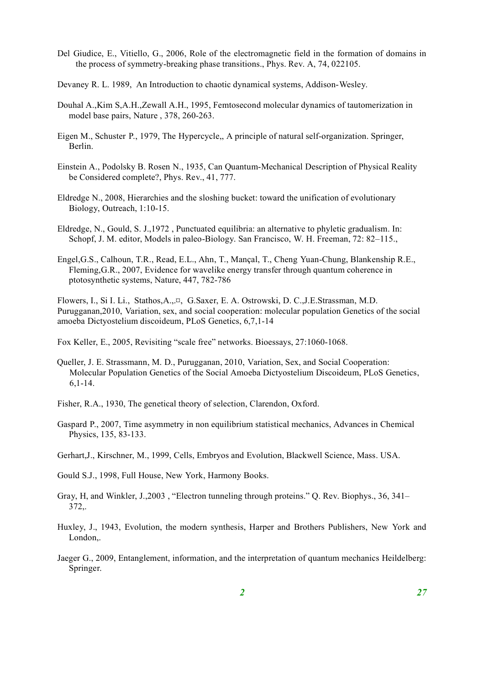- Del Giudice, E., Vitiello, G., 2006, Role of the electromagnetic field in the formation of domains in the process of symmetry-breaking phase transitions., Phys. Rev. A, 74, 022105.
- Devaney R. L. 1989, An Introduction to chaotic dynamical systems, Addison-Wesley.
- Douhal A.,Kim S,A.H.,Zewall A.H., 1995, Femtosecond molecular dynamics of tautomerization in model base pairs, Nature , 378, 260-263.
- Eigen M., Schuster P., 1979, The Hypercycle,, A principle of natural self-organization. Springer, Berlin.
- Einstein A., Podolsky B. Rosen N., 1935, Can Quantum-Mechanical Description of Physical Reality be Considered complete?, Phys. Rev., 41, 777.
- Eldredge N., 2008, Hierarchies and the sloshing bucket: toward the unification of evolutionary Biology, Outreach, 1:10-15.
- Eldredge, N., Gould, S. J.,1972 , Punctuated equilibria: an alternative to phyletic gradualism. In: Schopf, J. M. editor, Models in paleo-Biology. San Francisco, W. H. Freeman, 72: 82–115.,
- Engel,G.S., Calhoun, T.R., Read, E.L., Ahn, T., Mançal, T., Cheng Yuan-Chung, Blankenship R.E., Fleming,G.R., 2007, Evidence for wavelike energy transfer through quantum coherence in ptotosynthetic systems, Nature, 447, 782-786

Flowers, I., Si I. Li., Stathos,A.,.¤, G.Saxer, E. A. Ostrowski, D. C.,J.E.Strassman, M.D. Purugganan,2010, Variation, sex, and social cooperation: molecular population Genetics of the social amoeba Dictyostelium discoideum, PLoS Genetics, 6,7,1-14

Fox Keller, E., 2005, Revisiting "scale free" networks. Bioessays, 27:1060-1068.

Queller, J. E. Strassmann, M. D., Purugganan, 2010, Variation, Sex, and Social Cooperation: Molecular Population Genetics of the Social Amoeba Dictyostelium Discoideum, PLoS Genetics, 6,1-14.

Fisher, R.A., 1930, The genetical theory of selection, Clarendon, Oxford.

Gaspard P., 2007, Time asymmetry in non equilibrium statistical mechanics, Advances in Chemical Physics, 135, 83-133.

Gerhart,J., Kirschner, M., 1999, Cells, Embryos and Evolution, Blackwell Science, Mass. USA.

Gould S.J., 1998, Full House, New York, Harmony Books.

- Gray, H, and Winkler, J.,2003 , "Electron tunneling through proteins." Q. Rev. Biophys., 36, 341– 372,.
- Huxley, J., 1943, Evolution, the modern synthesis, Harper and Brothers Publishers, New York and London,.
- Jaeger G., 2009, Entanglement, information, and the interpretation of quantum mechanics Heildelberg: Springer.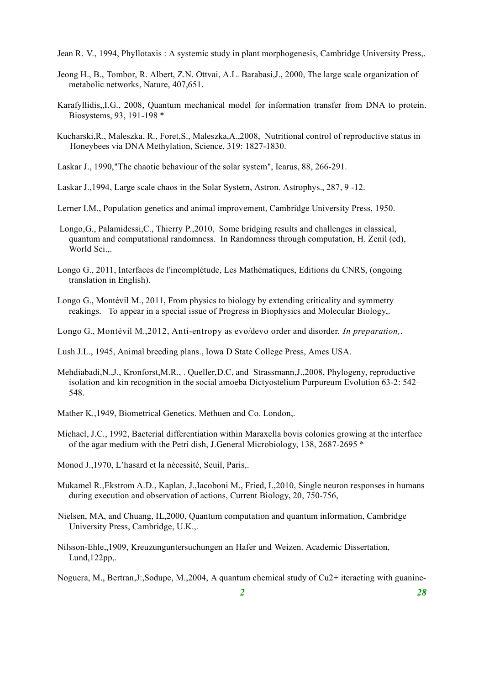Jean R. V., 1994, Phyllotaxis : A systemic study in plant morphogenesis, Cambridge University Press,.

- Jeong H., B., Tombor, R. Albert, Z.N. Ottvai, A.L. Barabasi,J., 2000, The large scale organization of metabolic networks, Nature, 407,651.
- Karafyllidis,,I.G., 2008, Quantum mechanical model for information transfer from DNA to protein. Biosystems, 93, 191-198 \*
- Kucharski,R., Maleszka, R., Foret,S., Maleszka,A.,2008, Nutritional control of reproductive status in Honeybees via DNA Methylation, Science, 319: 1827-1830.
- Laskar J., 1990,"The chaotic behaviour of the solar system", Icarus, 88, 266-291.
- Laskar J.,1994, Large scale chaos in the Solar System, Astron. Astrophys., 287, 9 -12.
- Lerner I.M., Population genetics and animal improvement, Cambridge University Press, 1950.
- Longo,G., Palamidessi,C., Thierry P.,2010, Some bridging results and challenges in classical, quantum and computational randomness. In Randomness through computation, H. Zenil (ed), World Sci.,.
- Longo G., 2011, Interfaces de l'incomplétude, Les Mathématiques, Editions du CNRS, (ongoing translation in English).
- Longo G., Montévil M., 2011, From physics to biology by extending criticality and symmetry reakings. To appear in a special issue of Progress in Biophysics and Molecular Biology,.
- Longo G., Montévil M.,2012, Anti-entropy as evo/devo order and disorder. *In preparation,*.
- Lush J.L., 1945, Animal breeding plans., Iowa D State College Press, Ames USA.
- Mehdiabadi,N.,J., Kronforst,M.R., . Queller,D.C, and Strassmann,J.,2008, Phylogeny, reproductive isolation and kin recognition in the social amoeba Dictyostelium Purpureum Evolution 63-2: 542– 548.
- Mather K.,1949, Biometrical Genetics. Methuen and Co. London,.
- Michael, J.C., 1992, Bacterial differentiation within Maraxella bovis colonies growing at the interface of the agar medium with the Petri dish, J.General Microbiology, 138, 2687-2695 \*
- Monod J.,1970, L'hasard et la nécessité, Seuil, Paris,.
- Mukamel R.,Ekstrom A.D., Kaplan, J.,Iacoboni M., Fried, I.,2010, Single neuron responses in humans during execution and observation of actions, Current Biology, 20, 750-756,
- Nielsen, MA, and Chuang, IL,2000, Quantum computation and quantum information, Cambridge University Press, Cambridge, U.K.,.
- Nilsson-Ehle,,1909, Kreuzunguntersuchungen an Hafer und Weizen. Academic Dissertation, Lund,122pp,.
- Noguera, M., Bertran,J:,Sodupe, M.,2004, A quantum chemical study of Cu2+ iteracting with guanine-

*2 28*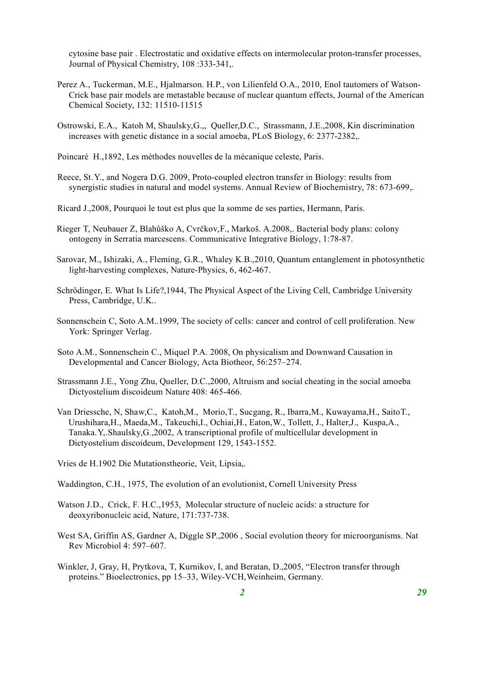cytosine base pair . Electrostatic and oxidative effects on intermolecular proton-transfer processes, Journal of Physical Chemistry, 108 :333-341,.

- Perez A., Tuckerman, M.E., Hjalmarson. H.P., von Lilienfeld O.A., 2010, Enol tautomers of Watson-Crick base pair models are metastable because of nuclear quantum effects, Journal of the American Chemical Society, 132: 11510-11515
- Ostrowski, E.A., Katoh M, Shaulsky,G.,, Queller,D.C., Strassmann, J.E.,2008, Kin discrimination increases with genetic distance in a social amoeba, PLoS Biology, 6: 2377-2382,.
- Poincaré H.,1892, Les méthodes nouvelles de la mécanique celeste, Paris.
- Reece, St.Y., and Nogera D.G. 2009, Proto-coupled electron transfer in Biology: results from synergistic studies in natural and model systems. Annual Review of Biochemistry, 78: 673-699,.
- Ricard J.,2008, Pourquoi le tout est plus que la somme de ses parties, Hermann, Paris.
- Rieger T, Neubauer Z, Blahůško A, Cvrčkov,F., Markoš. A.2008,. Bacterial body plans: colony ontogeny in Serratia marcescens. Communicative Integrative Biology, 1:78-87.
- Sarovar, M., Ishizaki, A., Fleming, G.R., Whaley K.B.,2010, Quantum entanglement in photosynthetic light-harvesting complexes, Nature-Physics, 6, 462-467.
- Schrödinger, E. What Is Life?,1944, The Physical Aspect of the Living Cell, Cambridge University Press, Cambridge, U.K..
- Sonnenschein C, Soto A.M..1999, The society of cells: cancer and control of cell proliferation. New York: Springer Verlag.
- Soto A.M., Sonnenschein C., Miquel P.A. 2008, On physicalism and Downward Causation in Developmental and Cancer Biology, Acta Biotheor, 56:257–274.
- Strassmann J.E., Yong Zhu, Queller, D.C.,2000, Altruism and social cheating in the social amoeba Dictyostelium discoideum Nature 408: 465-466.
- Van Driessche, N, Shaw,C., Katoh,M., Morio,T., Sucgang, R., Ibarra,M., Kuwayama,H., SaitoT., Urushihara,H., Maeda,M., Takeuchi,I., Ochiai,H., Eaton,W., Tollett, J., Halter,J., Kuspa,A., Tanaka.Y,.Shaulsky,G.,2002, A transcriptional profile of multicellular development in Dictyostelium discoideum, Development 129, 1543-1552.
- Vries de H.1902 Die Mutationstheorie, Veit, Lipsia,.
- Waddington, C.H., 1975, The evolution of an evolutionist, Cornell University Press
- Watson J.D., Crick, F. H.C.,1953, Molecular structure of nucleic acids: a structure for deoxyribonucleic acid, Nature, 171:737-738.
- West SA, Griffin AS, Gardner A, Diggle SP.,2006 , Social evolution theory for microorganisms. Nat Rev Microbiol 4: 597–607.
- Winkler, J, Gray, H, Prytkova, T, Kurnikov, I, and Beratan, D.,2005, "Electron transfer through proteins." Bioelectronics, pp 15–33, Wiley-VCH,Weinheim, Germany.